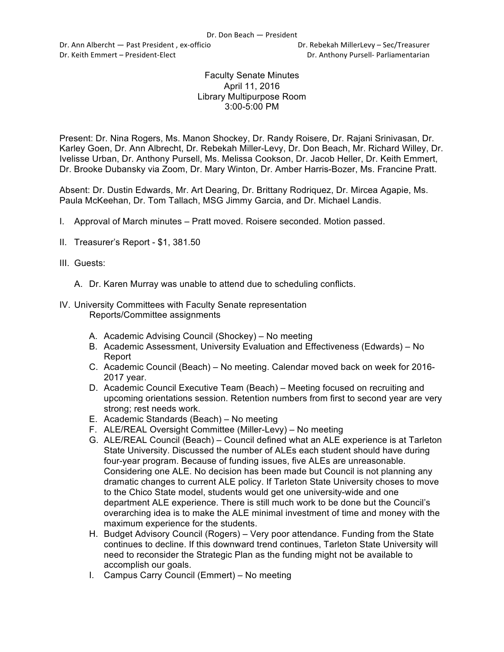Dr. Ann Albercht — Past President, ex-officio **Dr. Rebekah MillerLevy** – Sec/Treasurer Dr. Keith Emmert – President-Elect **Dr. Anthony Pursell- Parliamentarian** 

## Faculty Senate Minutes April 11, 2016 Library Multipurpose Room 3:00-5:00 PM

Present: Dr. Nina Rogers, Ms. Manon Shockey, Dr. Randy Roisere, Dr. Rajani Srinivasan, Dr. Karley Goen, Dr. Ann Albrecht, Dr. Rebekah Miller-Levy, Dr. Don Beach, Mr. Richard Willey, Dr. Ivelisse Urban, Dr. Anthony Pursell, Ms. Melissa Cookson, Dr. Jacob Heller, Dr. Keith Emmert, Dr. Brooke Dubansky via Zoom, Dr. Mary Winton, Dr. Amber Harris-Bozer, Ms. Francine Pratt.

Absent: Dr. Dustin Edwards, Mr. Art Dearing, Dr. Brittany Rodriquez, Dr. Mircea Agapie, Ms. Paula McKeehan, Dr. Tom Tallach, MSG Jimmy Garcia, and Dr. Michael Landis.

- I. Approval of March minutes Pratt moved. Roisere seconded. Motion passed.
- II. Treasurer's Report \$1, 381.50
- III. Guests:
	- A. Dr. Karen Murray was unable to attend due to scheduling conflicts.
- IV. University Committees with Faculty Senate representation Reports/Committee assignments
	- A. Academic Advising Council (Shockey) No meeting
	- B. Academic Assessment, University Evaluation and Effectiveness (Edwards) No Report
	- C. Academic Council (Beach) No meeting. Calendar moved back on week for 2016- 2017 year.
	- D. Academic Council Executive Team (Beach) Meeting focused on recruiting and upcoming orientations session. Retention numbers from first to second year are very strong; rest needs work.
	- E. Academic Standards (Beach) No meeting
	- F. ALE/REAL Oversight Committee (Miller-Levy) No meeting
	- G. ALE/REAL Council (Beach) Council defined what an ALE experience is at Tarleton State University. Discussed the number of ALEs each student should have during four-year program. Because of funding issues, five ALEs are unreasonable. Considering one ALE. No decision has been made but Council is not planning any dramatic changes to current ALE policy. If Tarleton State University choses to move to the Chico State model, students would get one university-wide and one department ALE experience. There is still much work to be done but the Council's overarching idea is to make the ALE minimal investment of time and money with the maximum experience for the students.
	- H. Budget Advisory Council (Rogers) Very poor attendance. Funding from the State continues to decline. If this downward trend continues, Tarleton State University will need to reconsider the Strategic Plan as the funding might not be available to accomplish our goals.
	- I. Campus Carry Council (Emmert) No meeting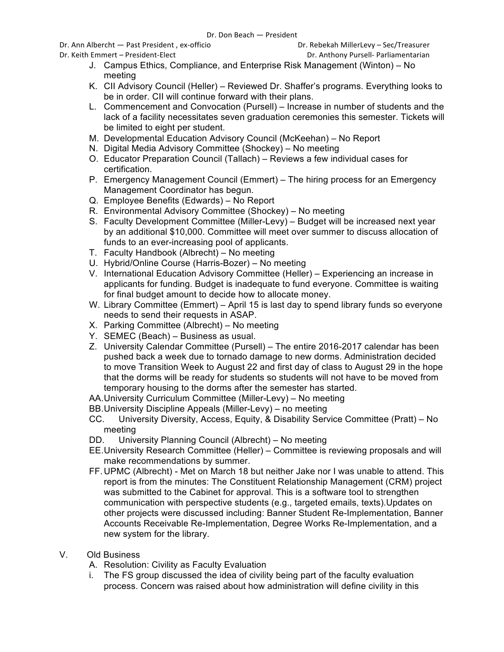Dr. Ann Albercht — Past President, ex-officio **Dr. Rebekah MillerLevy** – Sec/Treasurer

Dr. Keith Emmert – President-Elect **Dr. Anthony Pursell- Parliamentarian** 

- J. Campus Ethics, Compliance, and Enterprise Risk Management (Winton) No meeting
- K. CII Advisory Council (Heller) Reviewed Dr. Shaffer's programs. Everything looks to be in order. CII will continue forward with their plans.
- L. Commencement and Convocation (Pursell) Increase in number of students and the lack of a facility necessitates seven graduation ceremonies this semester. Tickets will be limited to eight per student.
- M. Developmental Education Advisory Council (McKeehan) No Report
- N. Digital Media Advisory Committee (Shockey) No meeting
- O. Educator Preparation Council (Tallach) Reviews a few individual cases for certification.
- P. Emergency Management Council (Emmert) The hiring process for an Emergency Management Coordinator has begun.
- Q. Employee Benefits (Edwards) No Report
- R. Environmental Advisory Committee (Shockey) No meeting
- S. Faculty Development Committee (Miller-Levy) Budget will be increased next year by an additional \$10,000. Committee will meet over summer to discuss allocation of funds to an ever-increasing pool of applicants.
- T. Faculty Handbook (Albrecht) No meeting
- U. Hybrid/Online Course (Harris-Bozer) No meeting
- V. International Education Advisory Committee (Heller) Experiencing an increase in applicants for funding. Budget is inadequate to fund everyone. Committee is waiting for final budget amount to decide how to allocate money.
- W. Library Committee (Emmert) April 15 is last day to spend library funds so everyone needs to send their requests in ASAP.
- X. Parking Committee (Albrecht) No meeting
- Y. SEMEC (Beach) Business as usual.
- Z. University Calendar Committee (Pursell) The entire 2016-2017 calendar has been pushed back a week due to tornado damage to new dorms. Administration decided to move Transition Week to August 22 and first day of class to August 29 in the hope that the dorms will be ready for students so students will not have to be moved from temporary housing to the dorms after the semester has started.
- AA.University Curriculum Committee (Miller-Levy) No meeting
- BB.University Discipline Appeals (Miller-Levy) no meeting
- CC. University Diversity, Access, Equity, & Disability Service Committee (Pratt) No meeting
- DD. University Planning Council (Albrecht) No meeting
- EE.University Research Committee (Heller) Committee is reviewing proposals and will make recommendations by summer.
- FF.UPMC (Albrecht) Met on March 18 but neither Jake nor I was unable to attend. This report is from the minutes: The Constituent Relationship Management (CRM) project was submitted to the Cabinet for approval. This is a software tool to strengthen communication with perspective students (e.g., targeted emails, texts).Updates on other projects were discussed including: Banner Student Re-Implementation, Banner Accounts Receivable Re-Implementation, Degree Works Re-Implementation, and a new system for the library.
- V. Old Business
	- A. Resolution: Civility as Faculty Evaluation
	- i. The FS group discussed the idea of civility being part of the faculty evaluation process. Concern was raised about how administration will define civility in this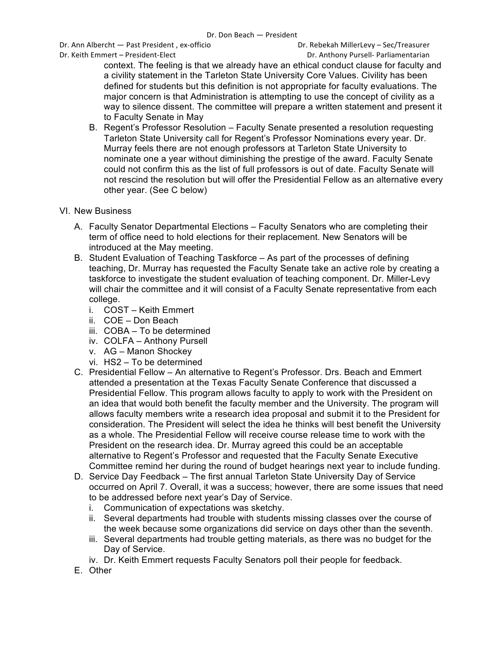Dr. Ann Albercht — Past President, ex-officio **Dr. Rebekah MillerLevy** – Sec/Treasurer

context. The feeling is that we already have an ethical conduct clause for faculty and a civility statement in the Tarleton State University Core Values. Civility has been defined for students but this definition is not appropriate for faculty evaluations. The major concern is that Administration is attempting to use the concept of civility as a way to silence dissent. The committee will prepare a written statement and present it to Faculty Senate in May

- B. Regent's Professor Resolution Faculty Senate presented a resolution requesting Tarleton State University call for Regent's Professor Nominations every year. Dr. Murray feels there are not enough professors at Tarleton State University to nominate one a year without diminishing the prestige of the award. Faculty Senate could not confirm this as the list of full professors is out of date. Faculty Senate will not rescind the resolution but will offer the Presidential Fellow as an alternative every other year. (See C below)
- VI. New Business
	- A. Faculty Senator Departmental Elections Faculty Senators who are completing their term of office need to hold elections for their replacement. New Senators will be introduced at the May meeting.
	- B. Student Evaluation of Teaching Taskforce As part of the processes of defining teaching, Dr. Murray has requested the Faculty Senate take an active role by creating a taskforce to investigate the student evaluation of teaching component. Dr. Miller-Levy will chair the committee and it will consist of a Faculty Senate representative from each college.
		- i. COST Keith Emmert
		- ii. COE Don Beach
		- iii. COBA To be determined
		- iv. COLFA Anthony Pursell
		- v. AG Manon Shockey
		- vi. HS2 To be determined
	- C. Presidential Fellow An alternative to Regent's Professor. Drs. Beach and Emmert attended a presentation at the Texas Faculty Senate Conference that discussed a Presidential Fellow. This program allows faculty to apply to work with the President on an idea that would both benefit the faculty member and the University. The program will allows faculty members write a research idea proposal and submit it to the President for consideration. The President will select the idea he thinks will best benefit the University as a whole. The Presidential Fellow will receive course release time to work with the President on the research idea. Dr. Murray agreed this could be an acceptable alternative to Regent's Professor and requested that the Faculty Senate Executive Committee remind her during the round of budget hearings next year to include funding.
	- D. Service Day Feedback The first annual Tarleton State University Day of Service occurred on April 7. Overall, it was a success; however, there are some issues that need to be addressed before next year's Day of Service.
		- i. Communication of expectations was sketchy.
		- ii. Several departments had trouble with students missing classes over the course of the week because some organizations did service on days other than the seventh.
		- iii. Several departments had trouble getting materials, as there was no budget for the Day of Service.
		- iv. Dr. Keith Emmert requests Faculty Senators poll their people for feedback.
	- E. Other